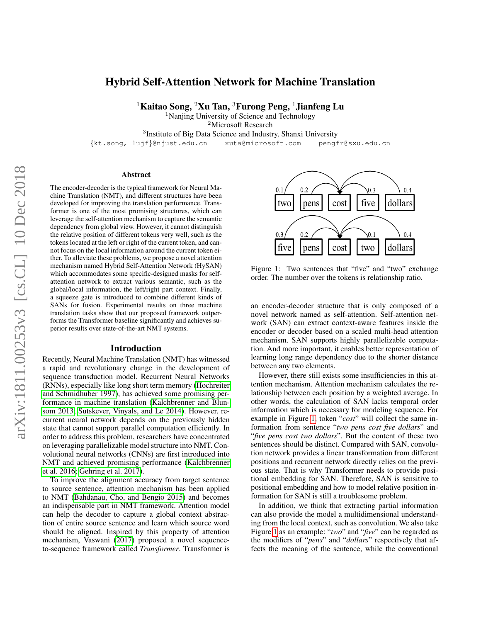# Hybrid Self-Attention Network for Machine Translation

<sup>1</sup>Kaitao Song, <sup>2</sup>Xu Tan, <sup>3</sup>Furong Peng, <sup>1</sup>Jianfeng Lu

<sup>1</sup>Nanjing University of Science and Technology

<sup>2</sup>Microsoft Research

<sup>3</sup>Institute of Big Data Science and Industry, Shanxi University

{kt.song, lujf}@njust.edu.cn xuta@microsoft.com pengfr@sxu.edu.cn

#### Abstract

The encoder-decoder is the typical framework for Neural Machine Translation (NMT), and different structures have been developed for improving the translation performance. Transformer is one of the most promising structures, which can leverage the self-attention mechanism to capture the semantic dependency from global view. However, it cannot distinguish the relative position of different tokens very well, such as the tokens located at the left or right of the current token, and cannot focus on the local information around the current token either. To alleviate these problems, we propose a novel attention mechanism named Hybrid Self-Attention Network (HySAN) which accommodates some specific-designed masks for selfattention network to extract various semantic, such as the global/local information, the left/right part context. Finally, a squeeze gate is introduced to combine different kinds of SANs for fusion. Experimental results on three machine translation tasks show that our proposed framework outperforms the Transformer baseline significantly and achieves superior results over state-of-the-art NMT systems.

#### Introduction

Recently, Neural Machine Translation (NMT) has witnessed a rapid and revolutionary change in the development of sequence transduction model. Recurrent Neural Networks (RNNs), especially like long short term memory [\(Hochreiter](#page-7-0) [and Schmidhuber 1997\)](#page-7-0), has achieved some promising performance in machine translation [\(Kalchbrenner and Blun](#page-7-1)[som 2013;](#page-7-1) [Sutskever, Vinyals, and Le 2014\)](#page-7-2). However, recurrent neural network depends on the previously hidden state that cannot support parallel computation efficiently. In order to address this problem, researchers have concentrated on leveraging parallelizable model structure into NMT. Convolutional neural networks (CNNs) are first introduced into NMT and achieved promising performance [\(Kalchbrenner](#page-7-3) [et al. 2016;](#page-7-3) [Gehring et al. 2017\)](#page-7-4).

To improve the alignment accuracy from target sentence to source sentence, attention mechanism has been applied to NMT [\(Bahdanau, Cho, and Bengio 2015\)](#page-7-5) and becomes an indispensable part in NMT framework. Attention model can help the decoder to capture a global context abstraction of entire source sentence and learn which source word should be aligned. Inspired by this property of attention mechanism, Vaswani [\(2017\)](#page-7-6) proposed a novel sequenceto-sequence framework called *Transformer*. Transformer is

<span id="page-0-0"></span>

Figure 1: Two sentences that "five" and "two" exchange order. The number over the tokens is relationship ratio.

an encoder-decoder structure that is only composed of a novel network named as self-attention. Self-attention network (SAN) can extract context-aware features inside the encoder or decoder based on a scaled multi-head attention mechanism. SAN supports highly parallelizable computation. And more important, it enables better representation of learning long range dependency due to the shorter distance between any two elements.

However, there still exists some insufficiencies in this attention mechanism. Attention mechanism calculates the relationship between each position by a weighted average. In other words, the calculation of SAN lacks temporal order information which is necessary for modeling sequence. For example in Figure [1,](#page-0-0) token "*cost*" will collect the same information from sentence "*two pens cost five dollars*" and "*five pens cost two dollars*". But the content of these two sentences should be distinct. Compared with SAN, convolution network provides a linear transformation from different positions and recurrent network directly relies on the previous state. That is why Transformer needs to provide positional embedding for SAN. Therefore, SAN is sensitive to positional embedding and how to model relative position information for SAN is still a troublesome problem.

In addition, we think that extracting partial information can also provide the model a multidimensional understanding from the local context, such as convolution. We also take Figure [1](#page-0-0) as an example: "*two*" and "*five*" can be regarded as the modifiers of "*pens*" and "*dollars*" respectively that affects the meaning of the sentence, while the conventional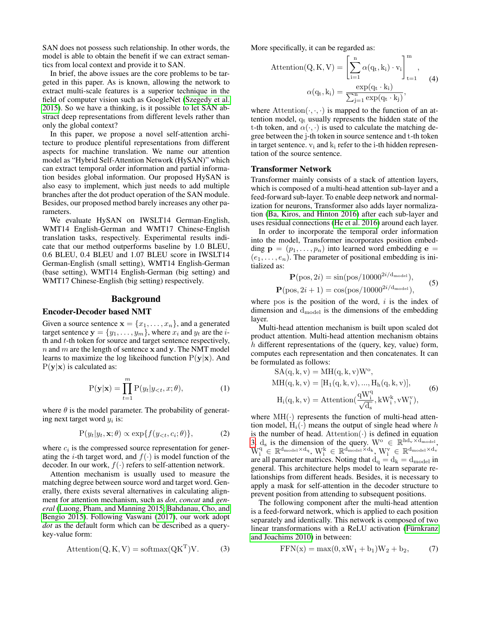SAN does not possess such relationship. In other words, the model is able to obtain the benefit if we can extract semantics from local context and provide it to SAN.

In brief, the above issues are the core problems to be targeted in this paper. As is known, allowing the network to extract multi-scale features is a superior technique in the field of computer vision such as GoogleNet [\(Szegedy et al.](#page-7-7) [2015\)](#page-7-7). So we have a thinking, is it possible to let SAN abstract deep representations from different levels rather than only the global context?

In this paper, we propose a novel self-attention architecture to produce plentiful representations from different aspects for machine translation. We name our attention model as "Hybrid Self-Attention Network (HySAN)" which can extract temporal order information and partial information besides global information. Our proposed HySAN is also easy to implement, which just needs to add multiple branches after the dot product operation of the SAN module. Besides, our proposed method barely increases any other parameters.

We evaluate HySAN on IWSLT14 German-English, WMT14 English-German and WMT17 Chinese-English translation tasks, respectively. Experimental results indicate that our method outperforms baseline by 1.0 BLEU, 0.6 BLEU, 0.4 BLEU and 1.07 BLEU score in IWSLT14 German-English (small setting), WMT14 English-German (base setting), WMT14 English-German (big setting) and WMT17 Chinese-English (big setting) respectively.

## Background

## Encoder-Decoder based NMT

Given a source sentence  $\mathbf{x} = \{x_1, \dots, x_n\}$ , and a generated target sentence  $\mathbf{y} = \{y_1, \dots, y_m\}$ , where  $x_i$  and  $y_t$  are the *i*th and  $t$ -th token for source and target sentence respectively,  $n$  and  $m$  are the length of sentence  $x$  and  $y$ . The NMT model learns to maximize the log likeihood function  $P(y|x)$ . And  $P(y|x)$  is calculated as:

$$
P(\mathbf{y}|\mathbf{x}) = \prod_{t=1}^{m} P(y_t|y_{< t}, x; \theta), \tag{1}
$$

where  $\theta$  is the model parameter. The probability of generating next target word  $y_i$  is:

$$
P(y_t|y_t, \mathbf{x}; \theta) \propto \exp\{f(y_{< t}, c_i; \theta)\},\tag{2}
$$

where  $c_i$  is the compressed source representation for generating the *i*-th target word, and  $f(\cdot)$  is model function of the decoder. In our work,  $f(\cdot)$  refers to self-attention network.

Attention mechanism is usually used to measure the matching degree between source word and target word. Generally, there exists several alternatives in calculating alignment for attention mechanism, such as *dot*, *concat* and *general* [\(Luong, Pham, and Manning 2015;](#page-7-8) [Bahdanau, Cho, and](#page-7-5) [Bengio 2015\)](#page-7-5). Following Vaswani [\(2017\)](#page-7-6), our work adopt *dot* as the default form which can be described as a querykey-value form:

<span id="page-1-0"></span>
$$
Attention(Q, K, V) = softmax(QKT)V.
$$
 (3)

More specifically, it can be regarded as:

$$
Attention(Q, K, V) = \left[\sum_{i=1}^{n} \alpha(q_t, k_i) \cdot v_i\right]_{t=1}^{m},
$$

$$
\alpha(q_t, k_i) = \frac{\exp(q_t \cdot k_i)}{\sum_{j=1}^{n} \exp(q_t \cdot k_j)},
$$
(4)

where Attention $(\cdot, \cdot, \cdot)$  is mapped to the function of an attention model,  $q_t$  usually represents the hidden state of the t-th token, and  $\alpha(\cdot, \cdot)$  is used to calculate the matching degree between the j-th token in source sentence and t-th token in target sentence.  $v_i$  and  $k_i$  refer to the i-th hidden representation of the source sentence.

#### Transformer Network

Transformer mainly consists of a stack of attention layers, which is composed of a multi-head attention sub-layer and a feed-forward sub-layer. To enable deep network and normalization for neurons, Transformer also adds layer normalization [\(Ba, Kiros, and Hinton 2016\)](#page-7-9) after each sub-layer and uses residual connections [\(He et al. 2016\)](#page-7-10) around each layer.

In order to incorporate the temporal order information into the model, Transformer incorporates position embedding  $\mathbf{p} = (p_1, \dots, p_n)$  into learned word embedding  $\mathbf{e} =$  $(e_1, \ldots, e_n)$ . The parameter of positional embedding is initialized as:

$$
\mathbf{P}(\text{pos}, 2i) = \sin(\text{pos}/10000^{2i/d_{\text{model}}}),
$$
  

$$
\mathbf{P}(\text{pos}, 2i + 1) = \cos(\text{pos}/10000^{2i/d_{\text{model}}}),
$$
 (5)

where pos is the position of the word,  $i$  is the index of dimension and  $d_{\text{model}}$  is the dimensions of the embedding layer.

Multi-head attention mechanism is built upon scaled dot product attention. Multi-head attention mechanism obtains h different representations of the (query, key, value) form, computes each representation and then concatenates. It can be formulated as follows:

$$
SA(q, k, v) = MH(q, k, v)Wo,
$$
  
\n
$$
MH(q, k, v) = [H1(q, k, v), ..., Hh(q, k, v)],
$$
  
\n
$$
Hi(q, k, v) = Attention(\frac{qWiq}{\sqrt{d_s}}, kWik, vWiv),
$$
\n(6)

where  $MH(\cdot)$  represents the function of multi-head attention model,  $H_i(\cdot)$  means the output of single head where h is the number of head. Attention  $(\cdot)$  is defined in equation [3.](#page-1-0)  $d_s$  is the dimension of the query.  $W^{\text{o}} \in \mathbb{R}^{\text{hd}_v \times d_{\text{model}}}$ ,  $\text{W}^\text{q}_\text{i} \in \mathbb{R}^{d_\text{model} \times d_\text{q}}, \, \text{W}^\text{k}_\text{i} \in \mathbb{R}^{d_\text{model} \times d_\text{k}}, \, \text{W}^\text{v}_\text{i} \in \mathbb{R}^{d_\text{model} \times d_\text{v}}$ are all parameter matrices. Noting that  $d_q = d_k = d_{\text{model}}$  in general. This architecture helps model to learn separate relationships from different heads. Besides, it is necessary to apply a mask for self-attention in the decoder structure to prevent position from attending to subsequent positions.

The following component after the multi-head attention is a feed-forward network, which is applied to each position separately and identically. This network is composed of two linear transformations with a ReLU activation (Fürnkranz [and Joachims 2010\)](#page-7-11) in between:

$$
FFN(x) = \max(0, xW_1 + b_1)W_2 + b_2,
$$
 (7)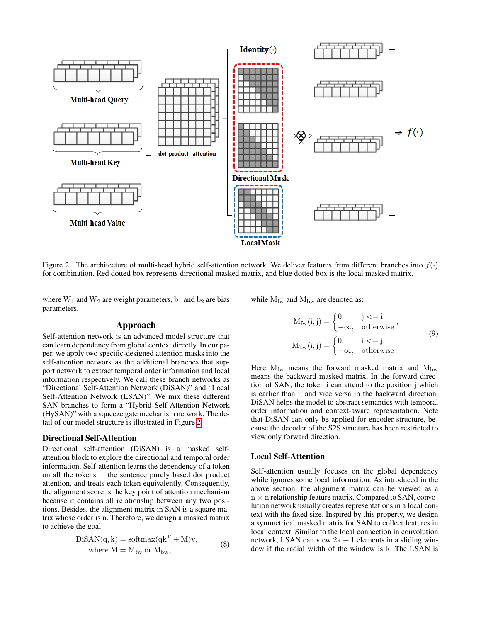<span id="page-2-0"></span>

Figure 2: The architecture of multi-head hybrid self-attention network. We deliver features from different branches into  $f(.)$ for combination. Red dotted box represents directional masked matrix, and blue dotted box is the local masked matrix.

where  $W_1$  and  $W_2$  are weight parameters,  $b_1$  and  $b_2$  are bias parameters.

### Approach

Self-attention network is an advanced model structure that can learn dependency from global context directly. In our paper, we apply two specific-designed attention masks into the self-attention network as the additional branches that support network to extract temporal order information and local information respectively. We call these branch networks as "Directional Self-Attention Network (DiSAN)" and "Local Self-Attention Network (LSAN)". We mix these different SAN branches to form a "Hybrid Self-Attention Network (HySAN)" with a squeeze gate mechanism network. The detail of our model structure is illustrated in Figure [2.](#page-2-0)

#### Directional Self-Attention

Directional self-attention (DiSAN) is a masked selfattention block to explore the directional and temporal order information. Self-attention learns the dependency of a token on all the tokens in the sentence purely based dot product attention, and treats each token equivalently. Consequently, the alignment score is the key point of attention mechanism because it contains all relationship between any two positions. Besides, the alignment matrix in SAN is a square matrix whose order is n. Therefore, we design a masked matrix to achieve the goal:

$$
DiSAN(q, k) = softmax(qkT + M)v,
$$
  
where M = M<sub>fw</sub> or M<sub>bw</sub>, (8)

while  $M_{\text{fw}}$  and  $M_{\text{bw}}$  are denoted as:

$$
M_{fw}(i, j) = \begin{cases} 0, & j < = i \\ -\infty, & \text{otherwise} \end{cases},
$$
  

$$
M_{bw}(i, j) = \begin{cases} 0, & i < = j \\ -\infty, & \text{otherwise} \end{cases}
$$
 (9)

Here  $M_{\text{fw}}$  means the forward masked matrix and  $M_{\text{bw}}$ means the backward masked matrix. In the forward direction of SAN, the token i can attend to the position j which is earlier than i, and vice versa in the backward direction. DiSAN helps the model to abstract semantics with temporal order information and context-aware representation. Note that DiSAN can only be applied for encoder structure, because the decoder of the S2S structure has been restricted to view only forward direction.

#### Local Self-Attention

Self-attention usually focuses on the global dependency while ignores some local information. As introduced in the above section, the alignment matrix can be viewed as a  $n \times n$  relationship feature matrix. Compared to SAN, convolution network usually creates representations in a local context with the fixed size. Inspired by this property, we design a symmetrical masked matrix for SAN to collect features in local context. Similar to the local connection in convolution network, LSAN can view  $2k + 1$  elements in a sliding window if the radial width of the window is k. The LSAN is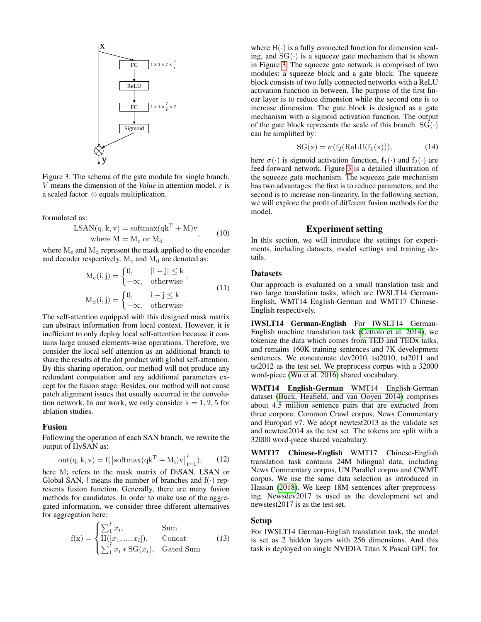<span id="page-3-0"></span>

Figure 3: The schema of the gate module for single branch. V means the dimension of the *Value* in attention model. r is a scaled factor. ⊗ equals multiplication.

formulated as:

$$
LSAN(q, k, v) = softmax(qkT + M)v,
$$
  
where M = M<sub>e</sub> or M<sub>d</sub> (10)

where  $M_e$  and  $M_d$  represent the mask applied to the encoder and decoder respectively.  $M_e$  and  $M_d$  are denoted as:

$$
M_e(i,j) = \begin{cases} 0, & |i - j| \le k \\ -\infty, & \text{otherwise} \end{cases},
$$
  

$$
M_d(i,j) = \begin{cases} 0, & i - j \le k \\ -\infty, & \text{otherwise} \end{cases}.
$$
 (11)

The self-attention equipped with this designed mask matrix can abstract information from local context. However, it is inefficient to only deploy local self-attention because it contains large unused elements-wise operations. Therefore, we consider the local self-attention as an additional branch to share the results of the dot product with global self-attention. By this sharing operation, our method will not produce any redundant computation and any additional parameters except for the fusion stage. Besides, our method will not cause patch alignment issues that usually occurred in the convolution network. In our work, we only consider  $k = 1, 2, 5$  for ablation studies.

## Fusion

Following the operation of each SAN branch, we rewrite the output of HySAN as:

$$
out(q, k, v) = f(\left[softmax(qk^{T} + M_{i})v\right]_{i=1}^{l}), \qquad (12)
$$

here  $M_i$  refers to the mask matrix of DiSAN, LSAN or Global SAN, *l* means the number of branches and  $f(\cdot)$  represents fusion function. Generally, there are many fusion methods for candidates. In order to make use of the aggregated information, we consider three different alternatives for aggregation here:

$$
f(x) = \begin{cases} \sum_{1}^{l} x_i, & \text{Sum} \\ H([x_1, ..., x_l]), & \text{Concat} \\ \sum_{1}^{l} x_i * SG(x_i), & \text{Gated Sum} \end{cases}
$$
(13)

where  $H(\cdot)$  is a fully connected function for dimension scaling, and  $SG(\cdot)$  is a squeeze gate mechanism that is shown in Figure [3.](#page-3-0) The squeeze gate network is comprised of two modules: a squeeze block and a gate block. The squeeze block consists of two fully connected networks with a ReLU activation function in between. The purpose of the first linear layer is to reduce dimension while the second one is to increase dimension. The gate block is designed as a gate mechanism with a sigmoid activation function. The output of the gate block represents the scale of this branch.  $SG(\cdot)$ can be simplified by:

$$
SG(x) = \sigma(f_2(ReLU(f_1(x))), \qquad (14)
$$

here  $\sigma(\cdot)$  is sigmoid activation function,  $f_1(\cdot)$  and  $f_2(\cdot)$  are feed-forward network. Figure [3](#page-3-0) is a detailed illustration of the squeeze gate mechanism. The squeeze gate mechanism has two advantages: the first is to reduce parameters, and the second is to increase non-linearity. In the following section, we will explore the profit of different fusion methods for the model.

# Experiment setting

In this section, we will introduce the settings for experiments, including datasets, model settings and training details.

## Datasets

Our approach is evaluated on a small translation task and two large translation tasks, which are IWSLT14 German-English, WMT14 English-German and WMT17 Chinese-English respectively.

IWSLT14 German-English For IWSLT14 German-English machine translation task [\(Cettolo et al. 2014\)](#page-7-12), we tokenize the data which comes from TED and TEDx talks, and remains 160K training sentences and 7K development sentences. We concatenate dev2010, tst2010, tst2011 and tst2012 as the test set. We preprocess corpus with a 32000 word-piece [\(Wu et al. 2016\)](#page-7-13) shared vocabulary.

WMT14 English-German WMT14 English-German dataset [\(Buck, Heafield, and van Ooyen 2014\)](#page-7-14) comprises about 4.5 million sentence pairs that are extracted from three corpora: Common Crawl corpus, News Commentary and Europarl v7. We adopt newtest2013 as the validate set and newtest2014 as the test set. The tokens are split with a 32000 word-piece shared vocabulary.

WMT17 Chinese-English WMT17 Chinese-English translation task contains 24M bilingual data, including News Commentary corpus, UN Parallel corpus and CWMT corpus. We use the same data selection as introduced in Hassan [\(2018\)](#page-7-15). We keep 18M sentences after preprocessing. Newsdev2017 is used as the development set and newstest2017 is as the test set.

### Setup

For IWSLT14 German-English translation task, the model is set as 2 hidden layers with 256 dimensions. And this task is deployed on single NVIDIA Titan X Pascal GPU for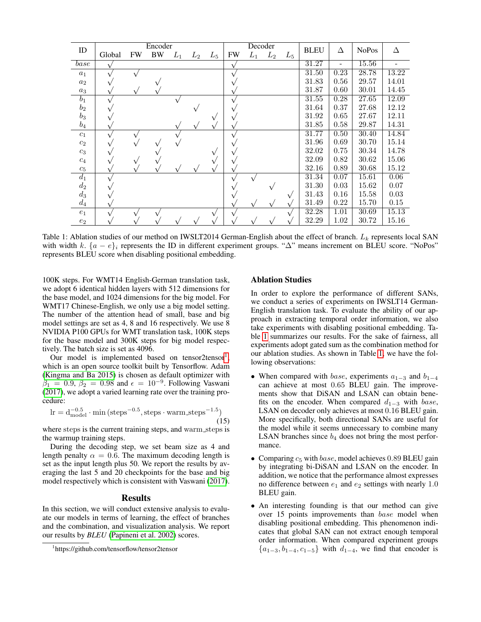<span id="page-4-1"></span>

| ID                 | Encoder |           |    |       |       |       | Decoder |       |       | <b>BLEU</b> | Δ     | <b>NoPos</b> | Δ     |       |
|--------------------|---------|-----------|----|-------|-------|-------|---------|-------|-------|-------------|-------|--------------|-------|-------|
|                    | Global  | <b>FW</b> | BW | $L_1$ | $L_2$ | $L_5$ | FW      | $L_1$ | $L_2$ | $L_5$       |       |              |       |       |
| $\overline{base}$  |         |           |    |       |       |       |         |       |       |             | 31.27 |              | 15.56 |       |
| $a_1$              |         |           |    |       |       |       |         |       |       |             | 31.50 | 0.23         | 28.78 | 13.22 |
| $a_2$              |         |           |    |       |       |       |         |       |       |             | 31.83 | 0.56         | 29.57 | 14.01 |
| $a_3$              |         |           |    |       |       |       |         |       |       |             | 31.87 | 0.60         | 30.01 | 14.45 |
| $b_1$              |         |           |    |       |       |       |         |       |       |             | 31.55 | 0.28         | 27.65 | 12.09 |
| $b_2$              |         |           |    |       |       |       |         |       |       |             | 31.64 | 0.37         | 27.68 | 12.12 |
| $b_3$              |         |           |    |       |       |       |         |       |       |             | 31.92 | 0.65         | 27.67 | 12.11 |
| $b_4$              |         |           |    |       |       |       |         |       |       |             | 31.85 | 0.58         | 29.87 | 14.31 |
| $c_1$              |         |           |    |       |       |       |         |       |       |             | 31.77 | 0.50         | 30.40 | 14.84 |
| $c_2$              |         |           |    |       |       |       |         |       |       |             | 31.96 | 0.69         | 30.70 | 15.14 |
| $c_3$              |         |           |    |       |       |       |         |       |       |             | 32.02 | 0.75         | 30.34 | 14.78 |
| $\mathfrak{c}_4$   |         |           |    |       |       |       |         |       |       |             | 32.09 | 0.82         | 30.62 | 15.06 |
| $c_5$              |         |           |    |       |       |       |         |       |       |             | 32.16 | 0.89         | 30.68 | 15.12 |
| $d_1$              |         |           |    |       |       |       |         |       |       |             | 31.34 | 0.07         | 15.61 | 0.06  |
| $d_2$              |         |           |    |       |       |       |         |       |       |             | 31.30 | 0.03         | 15.62 | 0.07  |
| $d_3$              |         |           |    |       |       |       |         |       |       | $\sqrt{}$   | 31.43 | 0.16         | 15.58 | 0.03  |
| $d_4$              |         |           |    |       |       |       |         |       |       |             | 31.49 | 0.22         | 15.70 | 0.15  |
| $e_1$              |         |           |    |       |       |       |         |       |       |             | 32.28 | 1.01         | 30.69 | 15.13 |
| $\boldsymbol{e}_2$ |         |           |    |       |       |       |         |       |       |             | 32.29 | 1.02         | 30.72 | 15.16 |

Table 1: Ablation studies of our method on IWSLT2014 German-English about the effect of branch.  $L_k$  represents local SAN with width k.  $\{a - e\}_i$  represents the ID in different experiment groups. " $\Delta$ " means increment on BLEU score. "NoPos" represents BLEU score when disabling positional embedding.

100K steps. For WMT14 English-German translation task, we adopt 6 identical hidden layers with 512 dimensions for the base model, and 1024 dimensions for the big model. For WMT17 Chinese-English, we only use a big model setting. The number of the attention head of small, base and big model settings are set as 4, 8 and 16 respectively. We use 8 NVIDIA P100 GPUs for WMT translation task, 100K steps for the base model and 300K steps for big model respectively. The batch size is set as 4096.

Our model is implemented based on tensor2tensor<sup>[1](#page-4-0)</sup>, which is an open source toolkit built by Tensorflow. Adam [\(Kingma and Ba 2015\)](#page-7-16) is chosen as default optimizer with  $\beta_1 = 0.9, \beta_2 = 0.98$  and  $\epsilon = 10^{-9}$ . Following Vaswani [\(2017\)](#page-7-6), we adopt a varied learning rate over the training procedure:

$$
\ln = d_{\text{model}}^{-0.5} \cdot \min\left(\text{steps}^{-0.5}, \text{steps} \cdot \text{warm\_steps}^{-1.5}\right) \tag{15}
$$

where steps is the current training steps, and warm steps is the warmup training steps.

During the decoding step, we set beam size as 4 and length penalty  $\alpha = 0.6$ . The maximum decoding length is set as the input length plus 50. We report the results by averaging the last 5 and 20 checkpoints for the base and big model respectively which is consistent with Vaswani [\(2017\)](#page-7-6).

### Results

In this section, we will conduct extensive analysis to evaluate our models in terms of learning, the effect of branches and the combination, and visualization analysis. We report our results by *BLEU* [\(Papineni et al. 2002\)](#page-7-17) scores.

## Ablation Studies

In order to explore the performance of different SANs, we conduct a series of experiments on IWSLT14 German-English translation task. To evaluate the ability of our approach in extracting temporal order information, we also take experiments with disabling positional embedding. Table [1](#page-4-1) summarizes our results. For the sake of fairness, all experiments adopt gated sum as the combination method for our ablation studies. As shown in Table [1,](#page-4-1) we have the following observations:

- When compared with *base*, experiments  $a_{1-3}$  and  $b_{1-4}$ can achieve at most 0.65 BLEU gain. The improvements show that DiSAN and LSAN can obtain benefits on the encoder. When compared  $d_{1-3}$  with base, LSAN on decoder only achieves at most 0.16 BLEU gain. More specifically, both directional SANs are useful for the model while it seems unnecessary to combine many LSAN branches since  $b_4$  does not bring the most performance.
- Comparing  $c_5$  with *base*, model achieves 0.89 BLEU gain by integrating bi-DiSAN and LSAN on the encoder. In addition, we notice that the performance almost expresses no difference between  $e_1$  and  $e_2$  settings with nearly 1.0 BLEU gain.
- An interesting founding is that our method can give over 15 points improvements than base model when disabling positional embedding. This phenomenon indicates that global SAN can not extract enough temporal order information. When compared experiment groups  ${a_{1-3}, b_{1-4}, c_{1-5}}$  with  $d_{1-4}$ , we find that encoder is

<span id="page-4-0"></span><sup>1</sup> https://github.com/tensorflow/tensor2tensor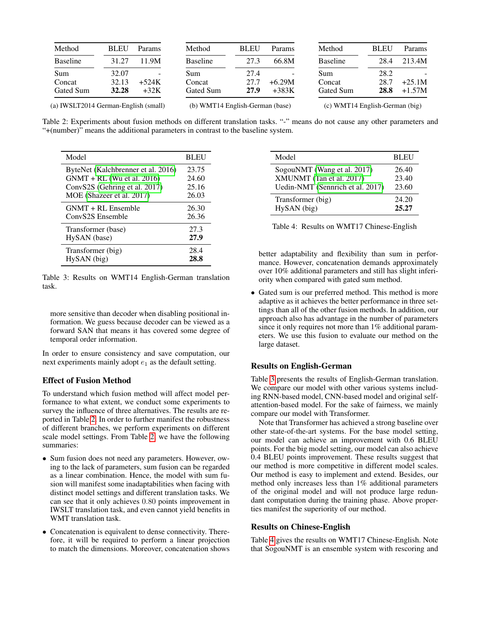<span id="page-5-0"></span>

| Method                               | <b>BLEU</b> | Params                   | Method                          | <b>BLEU</b> | <b>Params</b> | Method                         | <b>BLEU</b> | Params   |
|--------------------------------------|-------------|--------------------------|---------------------------------|-------------|---------------|--------------------------------|-------------|----------|
| <b>Baseline</b>                      | 31.27       | 11.9M                    | <b>Baseline</b>                 | 27.3        | 66.8M         | <b>Baseline</b>                | 28.4        | 213.4M   |
| Sum                                  | 32.07       | $\overline{\phantom{a}}$ | Sum                             | 27.4        |               | Sum                            | 28.2        |          |
| Concat                               | 32.13       | $+524K$                  | Concat                          | 27.7        | $+6.29M$      | Concat                         | 28.7        | $+25.1M$ |
| Gated Sum                            | 32.28       | $+32K$                   | Gated Sum                       | 27.9        | $+383K$       | Gated Sum                      | 28.8        | $+1.57M$ |
| (a) IWSLT2014 German-English (small) |             |                          | (b) WMT14 English-German (base) |             |               | (c) WMT14 English-German (big) |             |          |

Table 2: Experiments about fusion methods on different translation tasks. "-" means do not cause any other parameters and "+(number)" means the additional parameters in contrast to the baseline system.

<span id="page-5-1"></span>

| Model                              | <b>BLEU</b> |
|------------------------------------|-------------|
| ByteNet (Kalchbrenner et al. 2016) | 23.75       |
| $GNMT + RL$ (Wu et al. 2016)       | 24.60       |
| ConvS2S (Gehring et al. 2017)      | 25.16       |
| MOE (Shazeer et al. 2017)          | 26.03       |
| $GNMT + RL$ Ensemble               | 26.30       |
| ConvS2S Ensemble                   | 26.36       |
| Transformer (base)                 | 27.3        |
| HySAN (base)                       | 27.9        |
| Transformer (big)                  | 28.4        |
| HySAN (big)                        | 28.8        |

Table 3: Results on WMT14 English-German translation task.

more sensitive than decoder when disabling positional information. We guess because decoder can be viewed as a forward SAN that means it has covered some degree of temporal order information.

In order to ensure consistency and save computation, our next experiments mainly adopt  $e_1$  as the default setting.

# Effect of Fusion Method

To understand which fusion method will affect model performance to what extent, we conduct some experiments to survey the influence of three alternatives. The results are reported in Table [2.](#page-5-0) In order to further manifest the robustness of different branches, we perform experiments on different scale model settings. From Table [2,](#page-5-0) we have the following summaries:

- Sum fusion does not need any parameters. However, owing to the lack of parameters, sum fusion can be regarded as a linear combination. Hence, the model with sum fusion will manifest some inadaptabilities when facing with distinct model settings and different translation tasks. We can see that it only achieves 0.80 points improvement in IWSLT translation task, and even cannot yield benefits in WMT translation task.
- Concatenation is equivalent to dense connectivity. Therefore, it will be required to perform a linear projection to match the dimensions. Moreover, concatenation shows

<span id="page-5-2"></span>

| Model                            | <b>BLEU</b> |
|----------------------------------|-------------|
| SogouNMT (Wang et al. 2017)      | 26.40       |
| XMUNMT (Tan et al. 2017)         | 23.40       |
| Uedin-NMT (Sennrich et al. 2017) | 23.60       |
| Transformer (big)                | 24.20       |
| HySAN (big)                      | 25.27       |

|  |  |  | Table 4: Results on WMT17 Chinese-English |
|--|--|--|-------------------------------------------|
|--|--|--|-------------------------------------------|

better adaptability and flexibility than sum in performance. However, concatenation demands approximately over 10% additional parameters and still has slight inferiority when compared with gated sum method.

• Gated sum is our preferred method. This method is more adaptive as it achieves the better performance in three settings than all of the other fusion methods. In addition, our approach also has advantage in the number of parameters since it only requires not more than 1% additional parameters. We use this fusion to evaluate our method on the large dataset.

# Results on English-German

Table [3](#page-5-1) presents the results of English-German translation. We compare our model with other various systems including RNN-based model, CNN-based model and original selfattention-based model. For the sake of fairness, we mainly compare our model with Transformer.

Note that Transformer has achieved a strong baseline over other state-of-the-art systems. For the base model setting, our model can achieve an improvement with 0.6 BLEU points. For the big model setting, our model can also achieve 0.4 BLEU points improvement. These results suggest that our method is more competitive in different model scales. Our method is easy to implement and extend. Besides, our method only increases less than 1% additional parameters of the original model and will not produce large redundant computation during the training phase. Above properties manifest the superiority of our method.

# Results on Chinese-English

Table [4](#page-5-2) gives the results on WMT17 Chinese-English. Note that SogouNMT is an ensemble system with rescoring and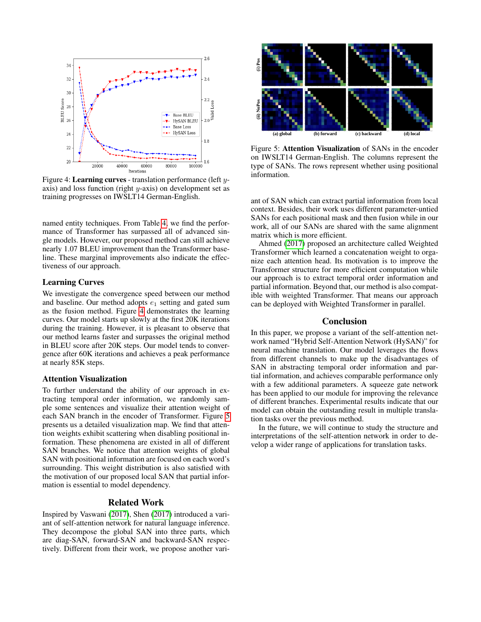<span id="page-6-0"></span>

Figure 4: Learning curves - translation performance (left yaxis) and loss function (right  $y$ -axis) on development set as training progresses on IWSLT14 German-English.

named entity techniques. From Table [4,](#page-5-2) we find the performance of Transformer has surpassed all of advanced single models. However, our proposed method can still achieve nearly 1.07 BLEU improvement than the Transformer baseline. These marginal improvements also indicate the effectiveness of our approach.

## Learning Curves

We investigate the convergence speed between our method and baseline. Our method adopts  $e_1$  setting and gated sum as the fusion method. Figure [4](#page-6-0) demonstrates the learning curves. Our model starts up slowly at the first 20K iterations during the training. However, it is pleasant to observe that our method learns faster and surpasses the original method in BLEU score after 20K steps. Our model tends to convergence after 60K iterations and achieves a peak performance at nearly 85K steps.

#### Attention Visualization

To further understand the ability of our approach in extracting temporal order information, we randomly sample some sentences and visualize their attention weight of each SAN branch in the encoder of Transformer. Figure [5](#page-6-1) presents us a detailed visualization map. We find that attention weights exhibit scattering when disabling positional information. These phenomena are existed in all of different SAN branches. We notice that attention weights of global SAN with positional information are focused on each word's surrounding. This weight distribution is also satisfied with the motivation of our proposed local SAN that partial information is essential to model dependency.

# Related Work

Inspired by Vaswani [\(2017\)](#page-7-6), Shen [\(2017\)](#page-7-22) introduced a variant of self-attention network for natural language inference. They decompose the global SAN into three parts, which are diag-SAN, forward-SAN and backward-SAN respectively. Different from their work, we propose another vari-

<span id="page-6-1"></span>

Figure 5: Attention Visualization of SANs in the encoder on IWSLT14 German-English. The columns represent the type of SANs. The rows represent whether using positional information.

ant of SAN which can extract partial information from local context. Besides, their work uses different parameter-untied SANs for each positional mask and then fusion while in our work, all of our SANs are shared with the same alignment matrix which is more efficient.

Ahmed [\(2017\)](#page-7-23) proposed an architecture called Weighted Transformer which learned a concatenation weight to organize each attention head. Its motivation is to improve the Transformer structure for more efficient computation while our approach is to extract temporal order information and partial information. Beyond that, our method is also compatible with weighted Transformer. That means our approach can be deployed with Weighted Transformer in parallel.

## Conclusion

In this paper, we propose a variant of the self-attention network named "Hybrid Self-Attention Network (HySAN)" for neural machine translation. Our model leverages the flows from different channels to make up the disadvantages of SAN in abstracting temporal order information and partial information, and achieves comparable performance only with a few additional parameters. A squeeze gate network has been applied to our module for improving the relevance of different branches. Experimental results indicate that our model can obtain the outstanding result in multiple translation tasks over the previous method.

In the future, we will continue to study the structure and interpretations of the self-attention network in order to develop a wider range of applications for translation tasks.